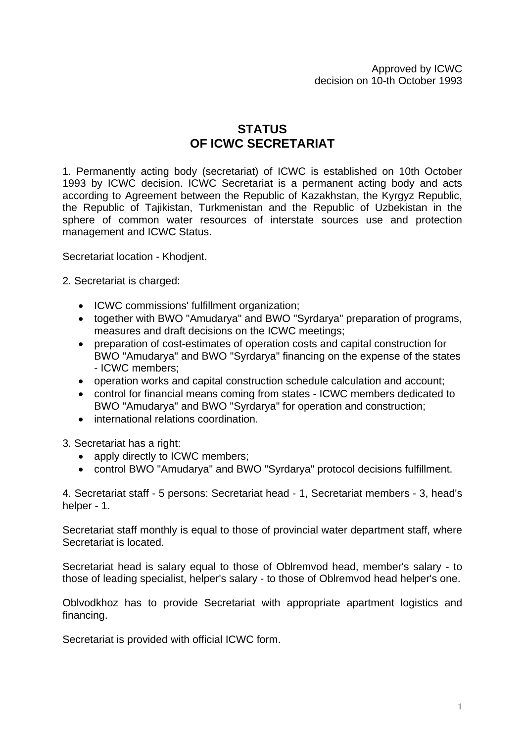## **STATUS OF ICWC SECRETARIAT**

1. Permanently acting body (secretariat) of ICWC is established on 10th October 1993 by ICWC decision. ICWC Secretariat is a permanent acting body and acts according to Agreement between the Republic of Kazakhstan, the Kyrgyz Republic, the Republic of Tajikistan, Turkmenistan and the Republic of Uzbekistan in the sphere of common water resources of interstate sources use and protection management and ICWC Status.

Secretariat location - Khodjent.

2. Secretariat is charged:

- ICWC commissions' fulfillment organization;
- together with BWO "Amudarya" and BWO "Syrdarya" preparation of programs, measures and draft decisions on the ICWC meetings;
- preparation of cost-estimates of operation costs and capital construction for BWO "Amudarya" and BWO "Syrdarya" financing on the expense of the states - ICWC members;
- operation works and capital construction schedule calculation and account;
- control for financial means coming from states ICWC members dedicated to BWO "Amudarya" and BWO "Syrdarya" for operation and construction;
- international relations coordination.

3. Secretariat has a right:

- apply directly to ICWC members;
- control BWO "Amudarya" and BWO "Syrdarya" protocol decisions fulfillment.

4. Secretariat staff - 5 persons: Secretariat head - 1, Secretariat members - 3, head's helper - 1.

Secretariat staff monthly is equal to those of provincial water department staff, where Secretariat is located.

Secretariat head is salary equal to those of Oblremvod head, member's salary - to those of leading specialist, helper's salary - to those of Oblremvod head helper's one.

Oblvodkhoz has to provide Secretariat with appropriate apartment logistics and financing.

Secretariat is provided with official ICWC form.